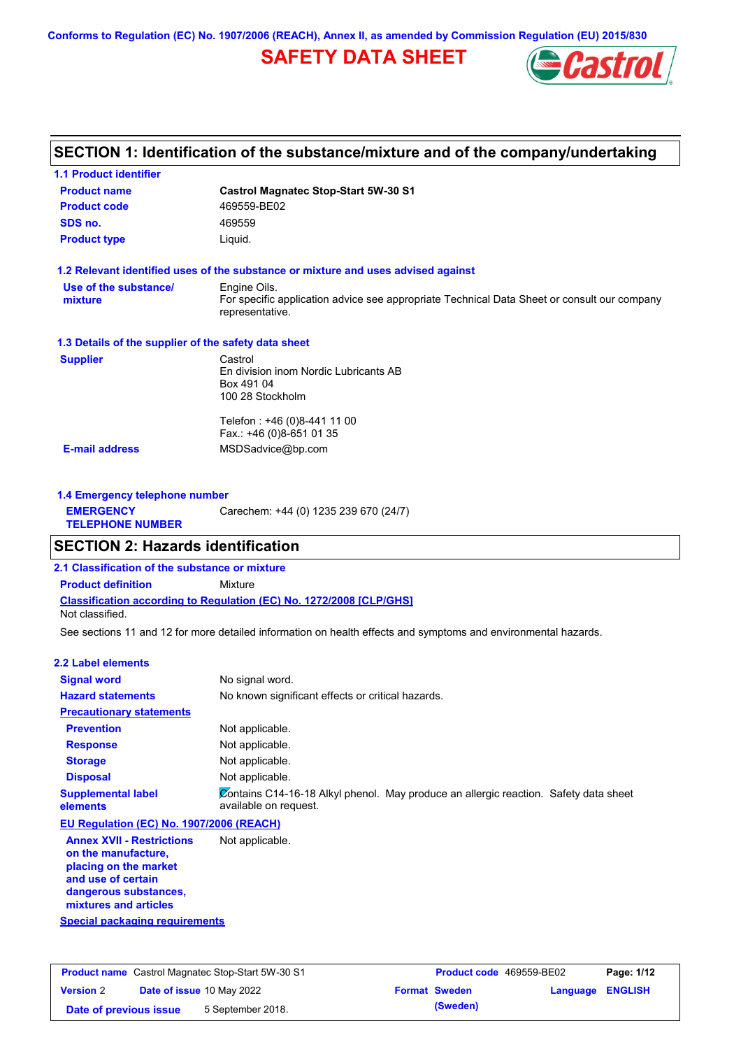**Conforms to Regulation (EC) No. 1907/2006 (REACH), Annex II, as amended by Commission Regulation (EU) 2015/830**

# **SAFETY DATA SHEET**



# **SECTION 1: Identification of the substance/mixture and of the company/undertaking**

| <b>Product name</b>                                  | <b>Castrol Magnatec Stop-Start 5W-30 S1</b>                                                                    |  |  |
|------------------------------------------------------|----------------------------------------------------------------------------------------------------------------|--|--|
| <b>Product code</b>                                  | 469559-BE02                                                                                                    |  |  |
| SDS no.                                              | 469559                                                                                                         |  |  |
| <b>Product type</b>                                  | Liquid.                                                                                                        |  |  |
|                                                      | 1.2 Relevant identified uses of the substance or mixture and uses advised against                              |  |  |
| Use of the substance/                                | Engine Oils.                                                                                                   |  |  |
| mixture                                              | For specific application advice see appropriate Technical Data Sheet or consult our company<br>representative. |  |  |
| 1.3 Details of the supplier of the safety data sheet |                                                                                                                |  |  |
| <b>Supplier</b>                                      | Castrol                                                                                                        |  |  |
|                                                      | En division inom Nordic Lubricants AB                                                                          |  |  |
|                                                      | Box 491 04                                                                                                     |  |  |
|                                                      | 100 28 Stockholm                                                                                               |  |  |
|                                                      | Telefon : +46 (0)8-441 11 00                                                                                   |  |  |
|                                                      | Fax.: +46 (0)8-651 01 35                                                                                       |  |  |
|                                                      | MSDSadvice@bp.com                                                                                              |  |  |

| 1.4 Emergency telephone number              |                                       |  |  |
|---------------------------------------------|---------------------------------------|--|--|
| <b>EMERGENCY</b><br><b>TELEPHONE NUMBER</b> | Carechem: +44 (0) 1235 239 670 (24/7) |  |  |

## **SECTION 2: Hazards identification**

**2.1 Classification of the substance or mixture**

**Classification according to Regulation (EC) No. 1272/2008 [CLP/GHS] Product definition** Mixture Not classified.

See sections 11 and 12 for more detailed information on health effects and symptoms and environmental hazards.

#### **2.2 Label elements**

| <b>Signal word</b><br><b>Hazard statements</b>                                   | No signal word.<br>No known significant effects or critical hazards.                                          |
|----------------------------------------------------------------------------------|---------------------------------------------------------------------------------------------------------------|
| <b>Precautionary statements</b>                                                  |                                                                                                               |
| <b>Prevention</b>                                                                | Not applicable.                                                                                               |
| <b>Response</b>                                                                  | Not applicable.                                                                                               |
| <b>Storage</b>                                                                   | Not applicable.                                                                                               |
| <b>Disposal</b>                                                                  | Not applicable.                                                                                               |
| <b>Supplemental label</b><br>elements                                            | Contains C14-16-18 Alkyl phenol. May produce an allergic reaction. Safety data sheet<br>available on request. |
| EU Regulation (EC) No. 1907/2006 (REACH)                                         |                                                                                                               |
| <b>Annex XVII - Restrictions</b><br>on the manufacture,<br>placing on the market | Not applicable.                                                                                               |

**and use of certain dangerous substances, mixtures and articles**

|  |  | Special packaging requirements |  |
|--|--|--------------------------------|--|
|  |  |                                |  |

| <b>Product name</b> Castrol Magnatec Stop-Start 5W-30 S1 |  |                                  | <b>Product code</b> 469559-BE02 |                      | Page: 1/12              |  |
|----------------------------------------------------------|--|----------------------------------|---------------------------------|----------------------|-------------------------|--|
| <b>Version 2</b>                                         |  | <b>Date of issue 10 May 2022</b> |                                 | <b>Format Sweden</b> | <b>Language ENGLISH</b> |  |
| Date of previous issue                                   |  | 5 September 2018.                |                                 | (Sweden)             |                         |  |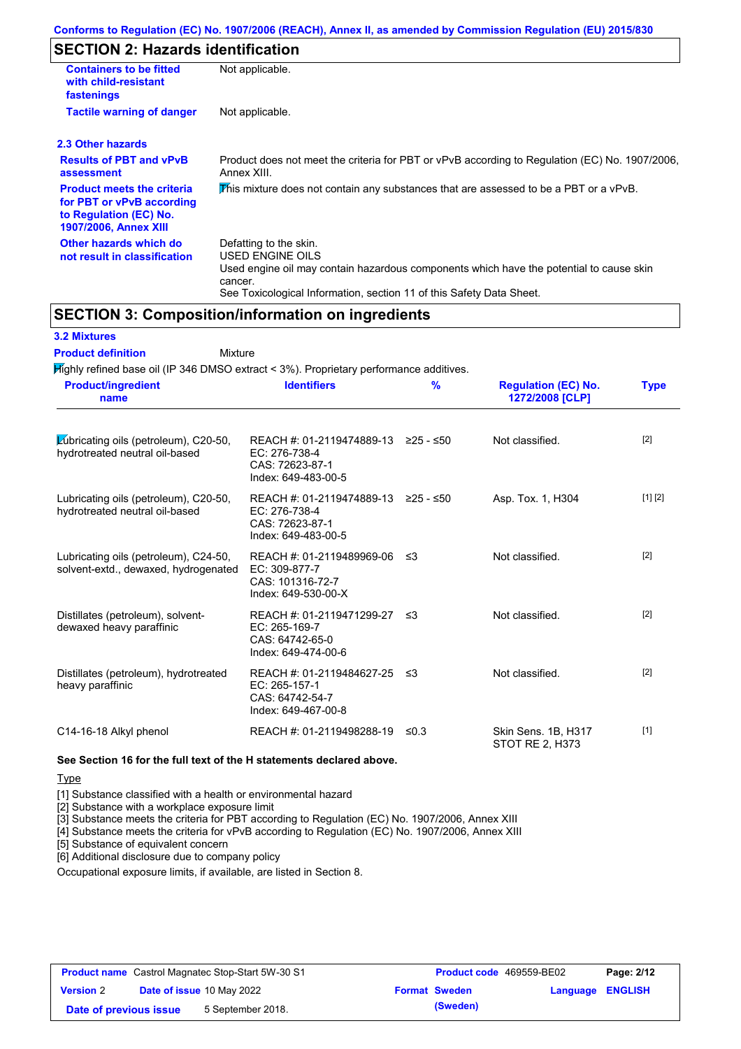## **SECTION 2: Hazards identification**

| <b>Containers to be fitted</b><br>with child-resistant<br>fastenings                                                     | Not applicable.                                                                                                                                                                                                          |
|--------------------------------------------------------------------------------------------------------------------------|--------------------------------------------------------------------------------------------------------------------------------------------------------------------------------------------------------------------------|
| <b>Tactile warning of danger</b>                                                                                         | Not applicable.                                                                                                                                                                                                          |
| 2.3 Other hazards                                                                                                        |                                                                                                                                                                                                                          |
| <b>Results of PBT and vPvB</b><br>assessment                                                                             | Product does not meet the criteria for PBT or vPvB according to Regulation (EC) No. 1907/2006,<br>Annex XIII.                                                                                                            |
| <b>Product meets the criteria</b><br>for PBT or vPvB according<br>to Regulation (EC) No.<br><b>1907/2006, Annex XIII</b> | This mixture does not contain any substances that are assessed to be a PBT or a vPvB.                                                                                                                                    |
| Other hazards which do<br>not result in classification                                                                   | Defatting to the skin.<br>USED ENGINE OILS<br>Used engine oil may contain hazardous components which have the potential to cause skin<br>cancer.<br>See Toxicological Information, section 11 of this Safety Data Sheet. |

## **SECTION 3: Composition/information on ingredients**

#### **3.2 Mixtures**

Mixture **Product definition**

**See Section 16 for the full text of the H statements declared above. Highly refined base oil (IP 346 DMSO extract < 3%). Proprietary performance additives.**  $\cancel{\text{L}}$ ubricating oils (petroleum), C20-50, hydrotreated neutral oil-based REACH #: 01-2119474889-13 ≥25 - ≤50 EC: 276-738-4 CAS: 72623-87-1 Index: 649-483-00-5 Not classified. [2] Lubricating oils (petroleum), C20-50, hydrotreated neutral oil-based REACH #: 01-2119474889-13 ≥25 - ≤50 EC: 276-738-4 CAS: 72623-87-1 Index: 649-483-00-5 ≥25 - ≤50 Asp. Tox. 1, H304 [1] [2] Lubricating oils (petroleum), C24-50, solvent-extd., dewaxed, hydrogenated REACH #: 01-2119489969-06 EC: 309-877-7 CAS: 101316-72-7 Index: 649-530-00-X Not classified. [2] Distillates (petroleum), solventdewaxed heavy paraffinic REACH #: 01-2119471299-27 EC: 265-169-7 CAS: 64742-65-0 Index: 649-474-00-6 Not classified. [2] Distillates (petroleum), hydrotreated heavy paraffinic REACH #: 01-2119484627-25 EC: 265-157-1 CAS: 64742-54-7 Index: 649-467-00-8 Not classified. Ⅰ2] C14-16-18 Alkyl phenol REACH #: 01-2119498288-19 ≤0.3 Skin Sens. 1B, H317 STOT RE 2, H373 [1] **Product/ingredient name % Regulation (EC) No. Identifiers Type 1272/2008 [CLP]**

#### **Type**

[1] Substance classified with a health or environmental hazard

[2] Substance with a workplace exposure limit

[3] Substance meets the criteria for PBT according to Regulation (EC) No. 1907/2006, Annex XIII

[4] Substance meets the criteria for vPvB according to Regulation (EC) No. 1907/2006, Annex XIII

[5] Substance of equivalent concern

[6] Additional disclosure due to company policy

Occupational exposure limits, if available, are listed in Section 8.

| <b>Product name</b> Castrol Magnatec Stop-Start 5W-30 S1 |  | <b>Product code</b> 469559-BE02  |  | Page: 2/12           |                         |  |
|----------------------------------------------------------|--|----------------------------------|--|----------------------|-------------------------|--|
| <b>Version 2</b>                                         |  | <b>Date of issue 10 May 2022</b> |  | <b>Format Sweden</b> | <b>Language ENGLISH</b> |  |
| Date of previous issue                                   |  | 5 September 2018.                |  | (Sweden)             |                         |  |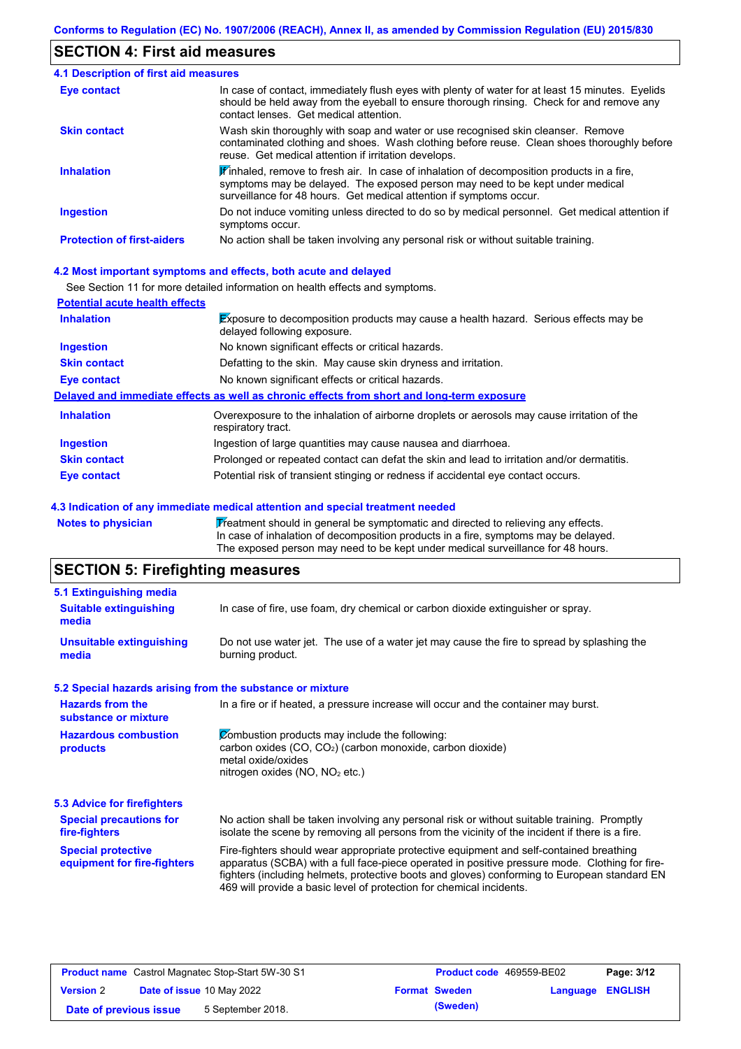## **SECTION 4: First aid measures**

| <b>4.1 Description of first aid measures</b> |                                                                                                                                                                                                                                                                         |
|----------------------------------------------|-------------------------------------------------------------------------------------------------------------------------------------------------------------------------------------------------------------------------------------------------------------------------|
| <b>Eye contact</b>                           | In case of contact, immediately flush eyes with plenty of water for at least 15 minutes. Eyelids<br>should be held away from the eyeball to ensure thorough rinsing. Check for and remove any<br>contact lenses. Get medical attention.                                 |
| <b>Skin contact</b>                          | Wash skin thoroughly with soap and water or use recognised skin cleanser. Remove<br>contaminated clothing and shoes. Wash clothing before reuse. Clean shoes thoroughly before<br>reuse. Get medical attention if irritation develops.                                  |
| <b>Inhalation</b>                            | $\mathbf{\mathscr{F}}$ inhaled, remove to fresh air. In case of inhalation of decomposition products in a fire,<br>symptoms may be delayed. The exposed person may need to be kept under medical<br>surveillance for 48 hours. Get medical attention if symptoms occur. |
| <b>Ingestion</b>                             | Do not induce vomiting unless directed to do so by medical personnel. Get medical attention if<br>symptoms occur.                                                                                                                                                       |
| <b>Protection of first-aiders</b>            | No action shall be taken involving any personal risk or without suitable training.                                                                                                                                                                                      |

#### **4.2 Most important symptoms and effects, both acute and delayed**

See Section 11 for more detailed information on health effects and symptoms.

| <b>Potential acute health effects</b> |                                                                                                                            |
|---------------------------------------|----------------------------------------------------------------------------------------------------------------------------|
| <b>Inhalation</b>                     | <b>Exposure to decomposition products may cause a health hazard. Serious effects may be</b><br>delayed following exposure. |
| <b>Ingestion</b>                      | No known significant effects or critical hazards.                                                                          |
| <b>Skin contact</b>                   | Defatting to the skin. May cause skin dryness and irritation.                                                              |
| Eye contact                           | No known significant effects or critical hazards.                                                                          |
|                                       | Delayed and immediate effects as well as chronic effects from short and long-term exposure                                 |
| <b>Inhalation</b>                     | Overexposure to the inhalation of airborne droplets or aerosols may cause irritation of the<br>respiratory tract.          |
| <b>Ingestion</b>                      | Ingestion of large quantities may cause nausea and diarrhoea.                                                              |
| <b>Skin contact</b>                   | Prolonged or repeated contact can defat the skin and lead to irritation and/or dermatitis.                                 |
| Eye contact                           | Potential risk of transient stinging or redness if accidental eye contact occurs.                                          |

#### **4.3 Indication of any immediate medical attention and special treatment needed**

Notes to physician **Treatment should in general be symptomatic and directed to relieving any effects.** In case of inhalation of decomposition products in a fire, symptoms may be delayed. The exposed person may need to be kept under medical surveillance for 48 hours.

# **SECTION 5: Firefighting measures**

| 5.1 Extinguishing media                                   |                                                                                                                                                                                                                                                                                                                                                                   |  |  |
|-----------------------------------------------------------|-------------------------------------------------------------------------------------------------------------------------------------------------------------------------------------------------------------------------------------------------------------------------------------------------------------------------------------------------------------------|--|--|
| <b>Suitable extinguishing</b><br>media                    | In case of fire, use foam, dry chemical or carbon dioxide extinguisher or spray.                                                                                                                                                                                                                                                                                  |  |  |
| <b>Unsuitable extinguishing</b><br>media                  | Do not use water jet. The use of a water jet may cause the fire to spread by splashing the<br>burning product.                                                                                                                                                                                                                                                    |  |  |
| 5.2 Special hazards arising from the substance or mixture |                                                                                                                                                                                                                                                                                                                                                                   |  |  |
| <b>Hazards from the</b><br>substance or mixture           | In a fire or if heated, a pressure increase will occur and the container may burst.                                                                                                                                                                                                                                                                               |  |  |
| <b>Hazardous combustion</b><br>products                   | Combustion products may include the following:<br>carbon oxides (CO, CO <sub>2</sub> ) (carbon monoxide, carbon dioxide)<br>metal oxide/oxides<br>nitrogen oxides (NO, NO <sub>2</sub> etc.)                                                                                                                                                                      |  |  |
| 5.3 Advice for firefighters                               |                                                                                                                                                                                                                                                                                                                                                                   |  |  |
| <b>Special precautions for</b><br>fire-fighters           | No action shall be taken involving any personal risk or without suitable training. Promptly<br>isolate the scene by removing all persons from the vicinity of the incident if there is a fire.                                                                                                                                                                    |  |  |
| <b>Special protective</b><br>equipment for fire-fighters  | Fire-fighters should wear appropriate protective equipment and self-contained breathing<br>apparatus (SCBA) with a full face-piece operated in positive pressure mode. Clothing for fire-<br>fighters (including helmets, protective boots and gloves) conforming to European standard EN<br>469 will provide a basic level of protection for chemical incidents. |  |  |

| <b>Product name</b> Castrol Magnatec Stop-Start 5W-30 S1 |  | <b>Product code</b> 469559-BE02  |  | Page: 3/12           |                         |  |
|----------------------------------------------------------|--|----------------------------------|--|----------------------|-------------------------|--|
| <b>Version 2</b>                                         |  | <b>Date of issue 10 May 2022</b> |  | <b>Format Sweden</b> | <b>Language ENGLISH</b> |  |
| Date of previous issue                                   |  | 5 September 2018.                |  | (Sweden)             |                         |  |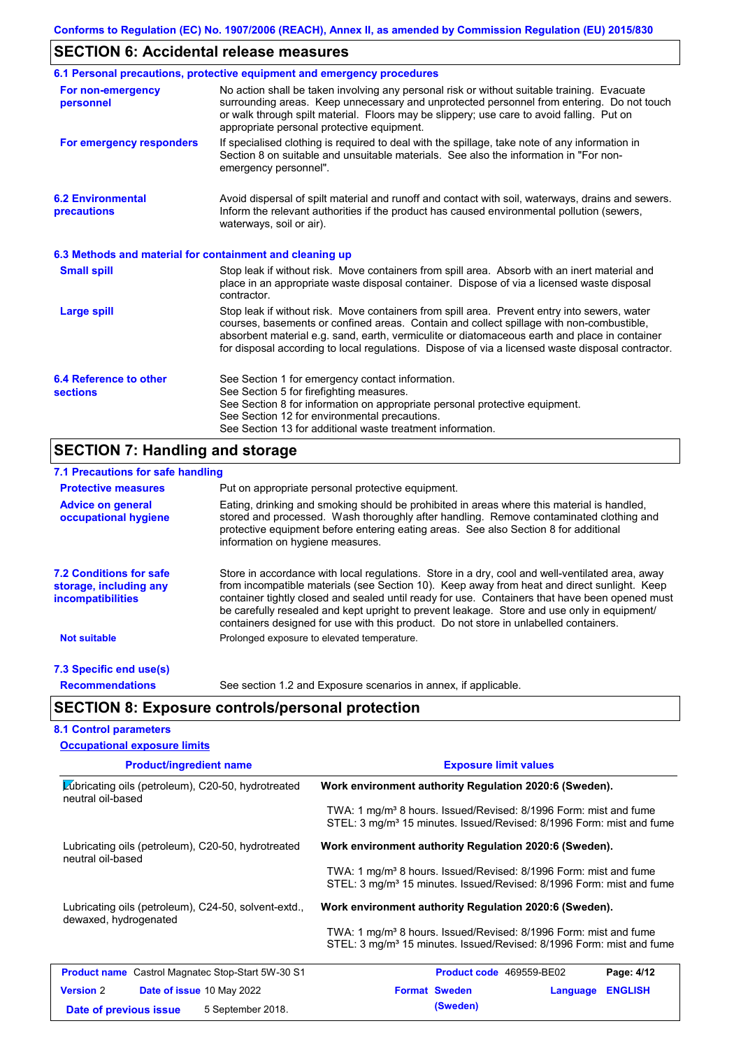# **SECTION 6: Accidental release measures**

|                                                          | 6.1 Personal precautions, protective equipment and emergency procedures                                                                                                                                                                                                                                                                                                                        |
|----------------------------------------------------------|------------------------------------------------------------------------------------------------------------------------------------------------------------------------------------------------------------------------------------------------------------------------------------------------------------------------------------------------------------------------------------------------|
| For non-emergency<br>personnel                           | No action shall be taken involving any personal risk or without suitable training. Evacuate<br>surrounding areas. Keep unnecessary and unprotected personnel from entering. Do not touch<br>or walk through spilt material. Floors may be slippery; use care to avoid falling. Put on<br>appropriate personal protective equipment.                                                            |
| For emergency responders                                 | If specialised clothing is required to deal with the spillage, take note of any information in<br>Section 8 on suitable and unsuitable materials. See also the information in "For non-<br>emergency personnel".                                                                                                                                                                               |
| <b>6.2 Environmental</b><br>precautions                  | Avoid dispersal of spilt material and runoff and contact with soil, waterways, drains and sewers.<br>Inform the relevant authorities if the product has caused environmental pollution (sewers,<br>waterways, soil or air).                                                                                                                                                                    |
| 6.3 Methods and material for containment and cleaning up |                                                                                                                                                                                                                                                                                                                                                                                                |
| <b>Small spill</b>                                       | Stop leak if without risk. Move containers from spill area. Absorb with an inert material and<br>place in an appropriate waste disposal container. Dispose of via a licensed waste disposal<br>contractor.                                                                                                                                                                                     |
| <b>Large spill</b>                                       | Stop leak if without risk. Move containers from spill area. Prevent entry into sewers, water<br>courses, basements or confined areas. Contain and collect spillage with non-combustible,<br>absorbent material e.g. sand, earth, vermiculite or diatomaceous earth and place in container<br>for disposal according to local regulations. Dispose of via a licensed waste disposal contractor. |
| 6.4 Reference to other<br><b>sections</b>                | See Section 1 for emergency contact information.<br>See Section 5 for firefighting measures.<br>See Section 8 for information on appropriate personal protective equipment.<br>See Section 12 for environmental precautions.<br>See Section 13 for additional waste treatment information.                                                                                                     |

# **SECTION 7: Handling and storage**

| 7.1 Precautions for safe handling                                                    |                                                                                                                                                                                                                                                                                                                                                                                                                                                                                          |
|--------------------------------------------------------------------------------------|------------------------------------------------------------------------------------------------------------------------------------------------------------------------------------------------------------------------------------------------------------------------------------------------------------------------------------------------------------------------------------------------------------------------------------------------------------------------------------------|
| <b>Protective measures</b>                                                           | Put on appropriate personal protective equipment.                                                                                                                                                                                                                                                                                                                                                                                                                                        |
| <b>Advice on general</b><br>occupational hygiene                                     | Eating, drinking and smoking should be prohibited in areas where this material is handled,<br>stored and processed. Wash thoroughly after handling. Remove contaminated clothing and<br>protective equipment before entering eating areas. See also Section 8 for additional<br>information on hygiene measures.                                                                                                                                                                         |
| <b>7.2 Conditions for safe</b><br>storage, including any<br><i>incompatibilities</i> | Store in accordance with local regulations. Store in a dry, cool and well-ventilated area, away<br>from incompatible materials (see Section 10). Keep away from heat and direct sunlight. Keep<br>container tightly closed and sealed until ready for use. Containers that have been opened must<br>be carefully resealed and kept upright to prevent leakage. Store and use only in equipment/<br>containers designed for use with this product. Do not store in unlabelled containers. |
| <b>Not suitable</b>                                                                  | Prolonged exposure to elevated temperature.                                                                                                                                                                                                                                                                                                                                                                                                                                              |
| 7.3 Specific end use(s)                                                              |                                                                                                                                                                                                                                                                                                                                                                                                                                                                                          |
| <b>Recommendations</b>                                                               | See section 1.2 and Exposure scenarios in annex, if applicable.                                                                                                                                                                                                                                                                                                                                                                                                                          |
|                                                                                      | <b>SECTION 8: Exposure controls/personal protection</b>                                                                                                                                                                                                                                                                                                                                                                                                                                  |
| <b>8.1 Control parameters</b>                                                        |                                                                                                                                                                                                                                                                                                                                                                                                                                                                                          |

| <b>Occupational exposure limits</b>                                                           |                                                                                                                                                                  |  |  |  |  |
|-----------------------------------------------------------------------------------------------|------------------------------------------------------------------------------------------------------------------------------------------------------------------|--|--|--|--|
| <b>Product/ingredient name</b>                                                                | <b>Exposure limit values</b>                                                                                                                                     |  |  |  |  |
| $\blacktriangleright$ (ubricating oils (petroleum), C20-50, hydrotreated<br>neutral oil-based | Work environment authority Regulation 2020:6 (Sweden).                                                                                                           |  |  |  |  |
|                                                                                               | TWA: 1 mg/m <sup>3</sup> 8 hours. Issued/Revised: 8/1996 Form: mist and fume<br>STEL: 3 mg/m <sup>3</sup> 15 minutes. Issued/Revised: 8/1996 Form: mist and fume |  |  |  |  |
| Lubricating oils (petroleum), C20-50, hydrotreated<br>neutral oil-based                       | Work environment authority Regulation 2020:6 (Sweden).                                                                                                           |  |  |  |  |
|                                                                                               | TWA: 1 mg/m <sup>3</sup> 8 hours. Issued/Revised: 8/1996 Form: mist and fume<br>STEL: 3 mg/m <sup>3</sup> 15 minutes. Issued/Revised: 8/1996 Form: mist and fume |  |  |  |  |
| Lubricating oils (petroleum), C24-50, solvent-extd.,<br>dewaxed, hydrogenated                 | Work environment authority Regulation 2020:6 (Sweden).                                                                                                           |  |  |  |  |
|                                                                                               | TWA: 1 mg/m <sup>3</sup> 8 hours. Issued/Revised: 8/1996 Form: mist and fume<br>STEL: 3 mg/m <sup>3</sup> 15 minutes. Issued/Revised: 8/1996 Form: mist and fume |  |  |  |  |
| <b>Product name</b> Castrol Magnatec Stop-Start 5W-30 S1                                      | Page: 4/12<br><b>Product code</b> 469559-BE02                                                                                                                    |  |  |  |  |
| <b>Version 2</b><br>Date of issue 10 May 2022                                                 | <b>Format Sweden</b><br><b>ENGLISH</b><br><b>Language</b>                                                                                                        |  |  |  |  |
| 5 September 2018.<br>Date of previous issue                                                   | (Sweden)                                                                                                                                                         |  |  |  |  |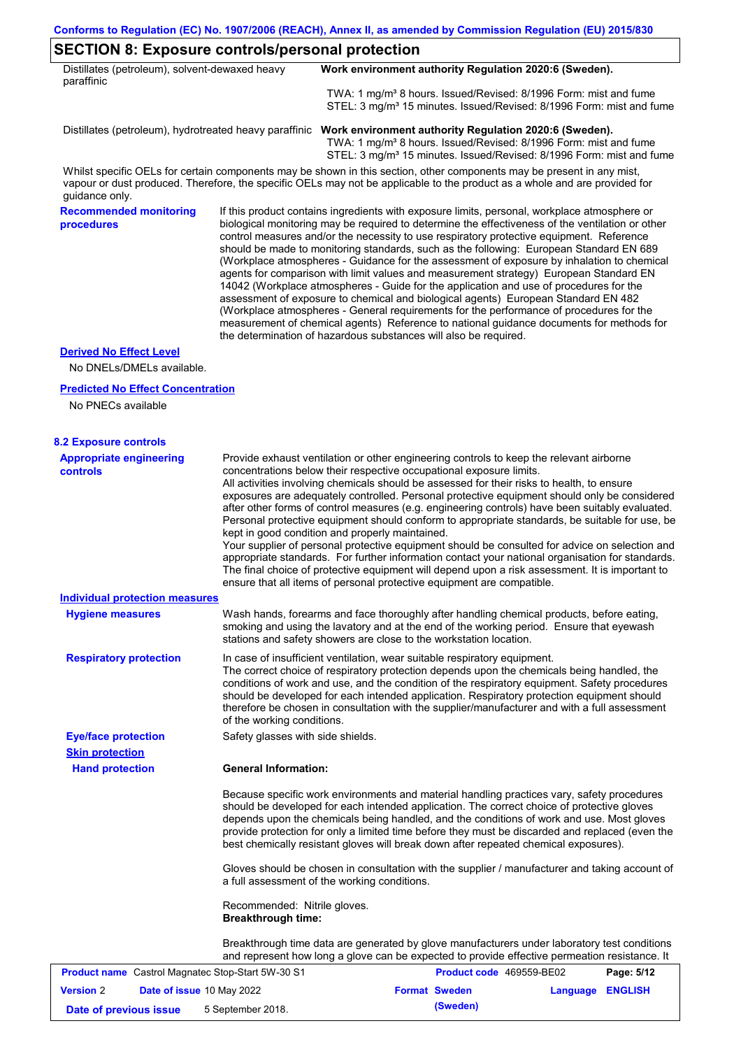| Distillates (petroleum), solvent-dewaxed heavy |                                                           | Work environment authority Regulation 2020:6 (Sweden).                                                                                                                                                                                                                                                                                                                                                                                                                                                                                                                                                                                                                                                                                                                                                                                                                                                                                                                                                                     |
|------------------------------------------------|-----------------------------------------------------------|----------------------------------------------------------------------------------------------------------------------------------------------------------------------------------------------------------------------------------------------------------------------------------------------------------------------------------------------------------------------------------------------------------------------------------------------------------------------------------------------------------------------------------------------------------------------------------------------------------------------------------------------------------------------------------------------------------------------------------------------------------------------------------------------------------------------------------------------------------------------------------------------------------------------------------------------------------------------------------------------------------------------------|
| paraffinic                                     |                                                           |                                                                                                                                                                                                                                                                                                                                                                                                                                                                                                                                                                                                                                                                                                                                                                                                                                                                                                                                                                                                                            |
|                                                |                                                           | TWA: 1 mg/m <sup>3</sup> 8 hours. Issued/Revised: 8/1996 Form: mist and fume<br>STEL: 3 mg/m <sup>3</sup> 15 minutes. Issued/Revised: 8/1996 Form: mist and fume                                                                                                                                                                                                                                                                                                                                                                                                                                                                                                                                                                                                                                                                                                                                                                                                                                                           |
|                                                |                                                           | Distillates (petroleum), hydrotreated heavy paraffinic Work environment authority Regulation 2020:6 (Sweden).<br>TWA: 1 mg/m <sup>3</sup> 8 hours. Issued/Revised: 8/1996 Form: mist and fume<br>STEL: 3 mg/m <sup>3</sup> 15 minutes. Issued/Revised: 8/1996 Form: mist and fume                                                                                                                                                                                                                                                                                                                                                                                                                                                                                                                                                                                                                                                                                                                                          |
| guidance only.                                 |                                                           | Whilst specific OELs for certain components may be shown in this section, other components may be present in any mist,<br>vapour or dust produced. Therefore, the specific OELs may not be applicable to the product as a whole and are provided for                                                                                                                                                                                                                                                                                                                                                                                                                                                                                                                                                                                                                                                                                                                                                                       |
| <b>Recommended monitoring</b><br>procedures    |                                                           | If this product contains ingredients with exposure limits, personal, workplace atmosphere or<br>biological monitoring may be required to determine the effectiveness of the ventilation or other<br>control measures and/or the necessity to use respiratory protective equipment. Reference<br>should be made to monitoring standards, such as the following: European Standard EN 689<br>(Workplace atmospheres - Guidance for the assessment of exposure by inhalation to chemical<br>agents for comparison with limit values and measurement strategy) European Standard EN<br>14042 (Workplace atmospheres - Guide for the application and use of procedures for the<br>assessment of exposure to chemical and biological agents) European Standard EN 482<br>(Workplace atmospheres - General requirements for the performance of procedures for the<br>measurement of chemical agents) Reference to national guidance documents for methods for<br>the determination of hazardous substances will also be required. |
| <b>Derived No Effect Level</b>                 |                                                           |                                                                                                                                                                                                                                                                                                                                                                                                                                                                                                                                                                                                                                                                                                                                                                                                                                                                                                                                                                                                                            |
| No DNELs/DMELs available.                      |                                                           |                                                                                                                                                                                                                                                                                                                                                                                                                                                                                                                                                                                                                                                                                                                                                                                                                                                                                                                                                                                                                            |
| <b>Predicted No Effect Concentration</b>       |                                                           |                                                                                                                                                                                                                                                                                                                                                                                                                                                                                                                                                                                                                                                                                                                                                                                                                                                                                                                                                                                                                            |
| No PNECs available                             |                                                           |                                                                                                                                                                                                                                                                                                                                                                                                                                                                                                                                                                                                                                                                                                                                                                                                                                                                                                                                                                                                                            |
| <b>8.2 Exposure controls</b>                   |                                                           |                                                                                                                                                                                                                                                                                                                                                                                                                                                                                                                                                                                                                                                                                                                                                                                                                                                                                                                                                                                                                            |
| <b>Appropriate engineering</b><br>controls     |                                                           | Provide exhaust ventilation or other engineering controls to keep the relevant airborne<br>concentrations below their respective occupational exposure limits.<br>All activities involving chemicals should be assessed for their risks to health, to ensure<br>exposures are adequately controlled. Personal protective equipment should only be considered<br>after other forms of control measures (e.g. engineering controls) have been suitably evaluated.<br>Personal protective equipment should conform to appropriate standards, be suitable for use, be<br>kept in good condition and properly maintained.<br>Your supplier of personal protective equipment should be consulted for advice on selection and<br>appropriate standards. For further information contact your national organisation for standards.<br>The final choice of protective equipment will depend upon a risk assessment. It is important to<br>ensure that all items of personal protective equipment are compatible.                    |
| <b>Individual protection measures</b>          |                                                           |                                                                                                                                                                                                                                                                                                                                                                                                                                                                                                                                                                                                                                                                                                                                                                                                                                                                                                                                                                                                                            |
| <b>Hygiene measures</b>                        |                                                           | Wash hands, forearms and face thoroughly after handling chemical products, before eating,<br>smoking and using the lavatory and at the end of the working period. Ensure that eyewash<br>stations and safety showers are close to the workstation location.                                                                                                                                                                                                                                                                                                                                                                                                                                                                                                                                                                                                                                                                                                                                                                |
| <b>Respiratory protection</b>                  | of the working conditions.                                | In case of insufficient ventilation, wear suitable respiratory equipment.<br>The correct choice of respiratory protection depends upon the chemicals being handled, the<br>conditions of work and use, and the condition of the respiratory equipment. Safety procedures<br>should be developed for each intended application. Respiratory protection equipment should<br>therefore be chosen in consultation with the supplier/manufacturer and with a full assessment                                                                                                                                                                                                                                                                                                                                                                                                                                                                                                                                                    |
| <b>Eye/face protection</b>                     | Safety glasses with side shields.                         |                                                                                                                                                                                                                                                                                                                                                                                                                                                                                                                                                                                                                                                                                                                                                                                                                                                                                                                                                                                                                            |
| <b>Skin protection</b>                         |                                                           |                                                                                                                                                                                                                                                                                                                                                                                                                                                                                                                                                                                                                                                                                                                                                                                                                                                                                                                                                                                                                            |
| <b>Hand protection</b>                         | <b>General Information:</b>                               |                                                                                                                                                                                                                                                                                                                                                                                                                                                                                                                                                                                                                                                                                                                                                                                                                                                                                                                                                                                                                            |
|                                                |                                                           | Because specific work environments and material handling practices vary, safety procedures<br>should be developed for each intended application. The correct choice of protective gloves<br>depends upon the chemicals being handled, and the conditions of work and use. Most gloves<br>provide protection for only a limited time before they must be discarded and replaced (even the<br>best chemically resistant gloves will break down after repeated chemical exposures).                                                                                                                                                                                                                                                                                                                                                                                                                                                                                                                                           |
|                                                |                                                           | Gloves should be chosen in consultation with the supplier / manufacturer and taking account of<br>a full assessment of the working conditions.                                                                                                                                                                                                                                                                                                                                                                                                                                                                                                                                                                                                                                                                                                                                                                                                                                                                             |
|                                                | Recommended: Nitrile gloves.<br><b>Breakthrough time:</b> |                                                                                                                                                                                                                                                                                                                                                                                                                                                                                                                                                                                                                                                                                                                                                                                                                                                                                                                                                                                                                            |
|                                                |                                                           |                                                                                                                                                                                                                                                                                                                                                                                                                                                                                                                                                                                                                                                                                                                                                                                                                                                                                                                                                                                                                            |

Breakthrough time data are generated by glove manufacturers under laboratory test conditions and represent how long a glove can be expected to provide effective permeation resistance. It

|                        | <b>Product name</b> Castrol Magnatec Stop-Start 5W-30 S1 | <b>Product code</b> 469559-BE02 |                  | Page: 5/12 |
|------------------------|----------------------------------------------------------|---------------------------------|------------------|------------|
| <b>Version 2</b>       | <b>Date of issue 10 May 2022</b>                         | <b>Format Sweden</b>            | Language ENGLISH |            |
| Date of previous issue | 5 September 2018.                                        | (Sweden)                        |                  |            |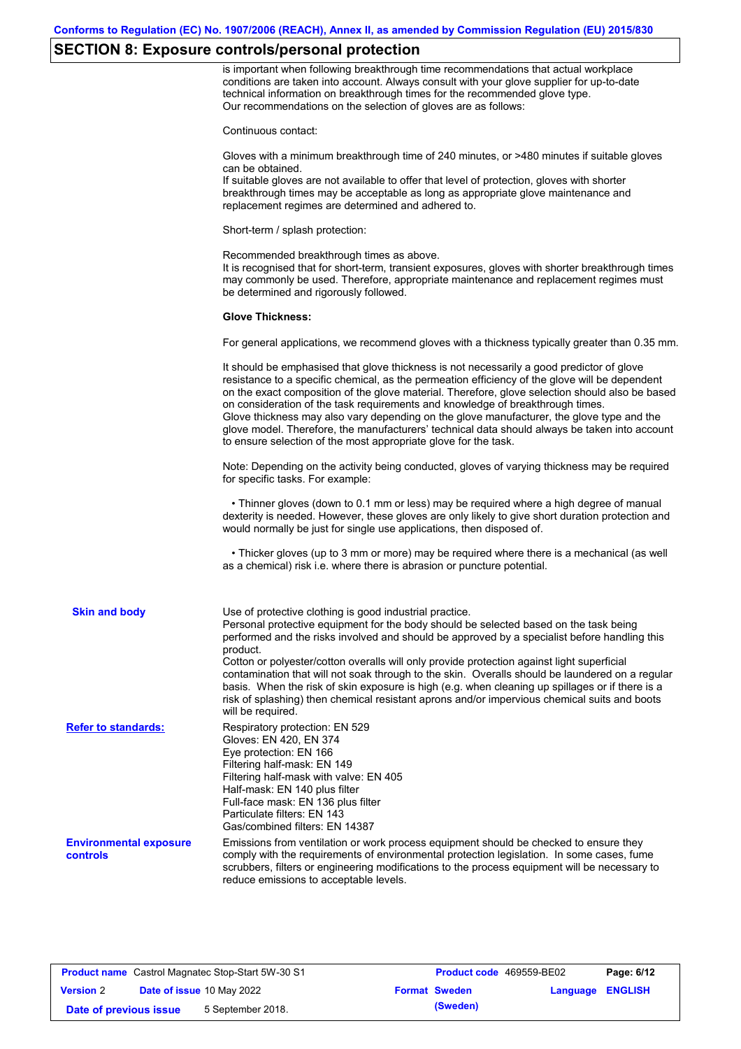## **SECTION 8: Exposure controls/personal protection**

is important when following breakthrough time recommendations that actual workplace conditions are taken into account. Always consult with your glove supplier for up-to-date technical information on breakthrough times for the recommended glove type. Our recommendations on the selection of gloves are as follows:

Continuous contact:

Gloves with a minimum breakthrough time of 240 minutes, or >480 minutes if suitable gloves can be obtained.

If suitable gloves are not available to offer that level of protection, gloves with shorter breakthrough times may be acceptable as long as appropriate glove maintenance and replacement regimes are determined and adhered to.

Short-term / splash protection:

Recommended breakthrough times as above. It is recognised that for short-term, transient exposures, gloves with shorter breakthrough times may commonly be used. Therefore, appropriate maintenance and replacement regimes must be determined and rigorously followed.

#### **Glove Thickness:**

For general applications, we recommend gloves with a thickness typically greater than 0.35 mm.

|                                           | It should be emphasised that glove thickness is not necessarily a good predictor of glove<br>resistance to a specific chemical, as the permeation efficiency of the glove will be dependent<br>on the exact composition of the glove material. Therefore, glove selection should also be based<br>on consideration of the task requirements and knowledge of breakthrough times.<br>Glove thickness may also vary depending on the glove manufacturer, the glove type and the<br>glove model. Therefore, the manufacturers' technical data should always be taken into account<br>to ensure selection of the most appropriate glove for the task.                                     |
|-------------------------------------------|---------------------------------------------------------------------------------------------------------------------------------------------------------------------------------------------------------------------------------------------------------------------------------------------------------------------------------------------------------------------------------------------------------------------------------------------------------------------------------------------------------------------------------------------------------------------------------------------------------------------------------------------------------------------------------------|
|                                           | Note: Depending on the activity being conducted, gloves of varying thickness may be required<br>for specific tasks. For example:                                                                                                                                                                                                                                                                                                                                                                                                                                                                                                                                                      |
|                                           | • Thinner gloves (down to 0.1 mm or less) may be required where a high degree of manual<br>dexterity is needed. However, these gloves are only likely to give short duration protection and<br>would normally be just for single use applications, then disposed of.                                                                                                                                                                                                                                                                                                                                                                                                                  |
|                                           | • Thicker gloves (up to 3 mm or more) may be required where there is a mechanical (as well<br>as a chemical) risk i.e. where there is abrasion or puncture potential.                                                                                                                                                                                                                                                                                                                                                                                                                                                                                                                 |
| <b>Skin and body</b>                      | Use of protective clothing is good industrial practice.<br>Personal protective equipment for the body should be selected based on the task being<br>performed and the risks involved and should be approved by a specialist before handling this<br>product.<br>Cotton or polyester/cotton overalls will only provide protection against light superficial<br>contamination that will not soak through to the skin. Overalls should be laundered on a regular<br>basis. When the risk of skin exposure is high (e.g. when cleaning up spillages or if there is a<br>risk of splashing) then chemical resistant aprons and/or impervious chemical suits and boots<br>will be required. |
| <b>Refer to standards:</b>                | Respiratory protection: EN 529<br>Gloves: EN 420, EN 374<br>Eye protection: EN 166<br>Filtering half-mask: EN 149<br>Filtering half-mask with valve: EN 405<br>Half-mask: EN 140 plus filter<br>Full-face mask: EN 136 plus filter<br>Particulate filters: EN 143<br>Gas/combined filters: EN 14387                                                                                                                                                                                                                                                                                                                                                                                   |
| <b>Environmental exposure</b><br>controls | Emissions from ventilation or work process equipment should be checked to ensure they<br>comply with the requirements of environmental protection legislation. In some cases, fume<br>scrubbers, filters or engineering modifications to the process equipment will be necessary to<br>reduce emissions to acceptable levels.                                                                                                                                                                                                                                                                                                                                                         |

|                        | <b>Product name</b> Castrol Magnatec Stop-Start 5W-30 S1 | <b>Product code</b> 469559-BE02 |                         | Page: 6/12 |
|------------------------|----------------------------------------------------------|---------------------------------|-------------------------|------------|
| <b>Version 2</b>       | <b>Date of issue 10 May 2022</b>                         | <b>Format Sweden</b>            | <b>Language ENGLISH</b> |            |
| Date of previous issue | 5 September 2018.                                        | (Sweden)                        |                         |            |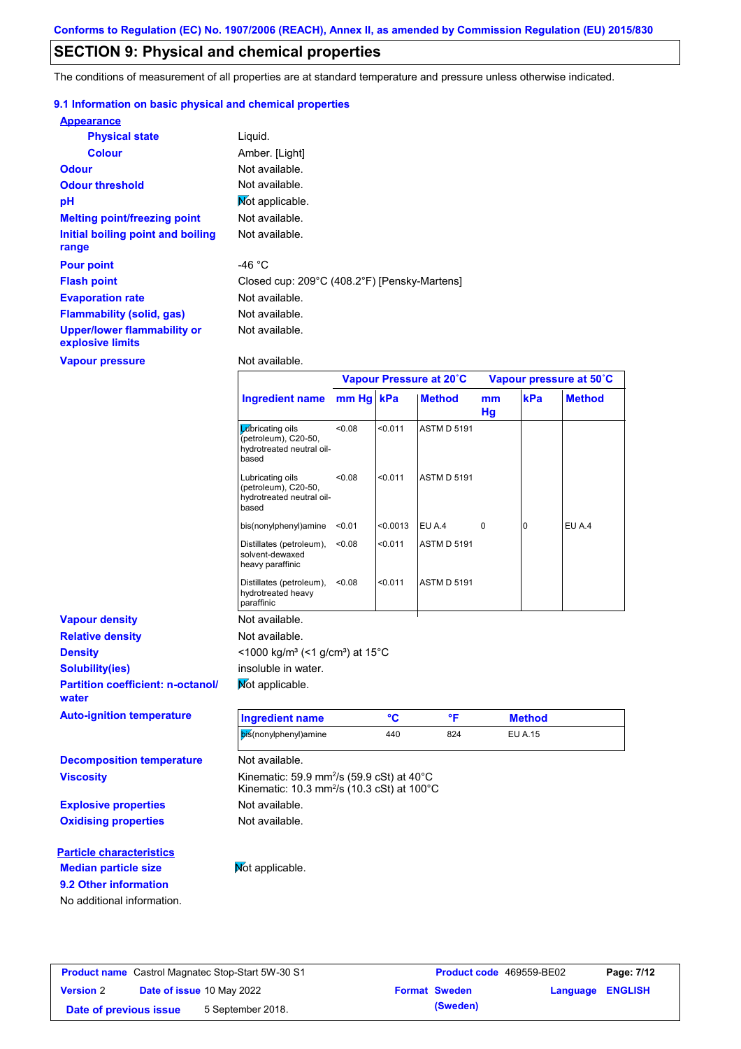## **SECTION 9: Physical and chemical properties**

The conditions of measurement of all properties are at standard temperature and pressure unless otherwise indicated.

#### **9.1 Information on basic physical and chemical properties**

| <b>Appearance</b>                               |                                              |
|-------------------------------------------------|----------------------------------------------|
| <b>Physical state</b>                           | Liquid.                                      |
| <b>Colour</b>                                   | Amber. [Light]                               |
| <b>Odour</b>                                    | Not available.                               |
| <b>Odour threshold</b>                          | Not available.                               |
| pH                                              | Mot applicable.                              |
| <b>Melting point/freezing point</b>             | Not available.                               |
| Initial boiling point and boiling<br>range      | Not available.                               |
| <b>Pour point</b>                               | -46 °C                                       |
| <b>Flash point</b>                              | Closed cup: 209°C (408.2°F) [Pensky-Martens] |
| <b>Evaporation rate</b>                         | Not available.                               |
| <b>Flammability (solid, gas)</b>                | Not available.                               |
| Upper/lower flammability or<br>explosive limits | Not available.                               |

**Vapour pressure**

**9.2 Other information**

No additional information.

Not available.

|                                                   |                                                                                                                                      | Vapour Pressure at 20°C |          |                    | Vapour pressure at 50°C |                |               |
|---------------------------------------------------|--------------------------------------------------------------------------------------------------------------------------------------|-------------------------|----------|--------------------|-------------------------|----------------|---------------|
|                                                   | <b>Ingredient name</b>                                                                                                               | mm Hg kPa               |          | <b>Method</b>      | mm<br>Hg                | kPa            | <b>Method</b> |
|                                                   | <b>L</b> úbricating oils<br>(petroleum), C20-50,<br>hydrotreated neutral oil-<br>based                                               | < 0.08                  | < 0.011  | <b>ASTM D 5191</b> |                         |                |               |
|                                                   | Lubricating oils<br>(petroleum), C20-50,<br>hydrotreated neutral oil-<br>based                                                       | <0.08                   | < 0.011  | <b>ASTM D 5191</b> |                         |                |               |
|                                                   | bis(nonylphenyl)amine                                                                                                                | < 0.01                  | < 0.0013 | EU A.4             | 0                       | $\overline{0}$ | EU A.4        |
|                                                   | Distillates (petroleum),<br>solvent-dewaxed<br>heavy paraffinic                                                                      | < 0.08                  | < 0.011  | <b>ASTM D 5191</b> |                         |                |               |
|                                                   | Distillates (petroleum),<br>hydrotreated heavy<br>paraffinic                                                                         | <0.08                   | < 0.011  | <b>ASTM D 5191</b> |                         |                |               |
| <b>Vapour density</b>                             | Not available.                                                                                                                       |                         |          |                    |                         |                |               |
| <b>Relative density</b>                           | Not available.                                                                                                                       |                         |          |                    |                         |                |               |
| <b>Density</b>                                    | <1000 kg/m <sup>3</sup> (<1 g/cm <sup>3</sup> ) at 15 <sup>°</sup> C                                                                 |                         |          |                    |                         |                |               |
| <b>Solubility(ies)</b>                            | insoluble in water.                                                                                                                  |                         |          |                    |                         |                |               |
| <b>Partition coefficient: n-octanol/</b><br>water | Not applicable.                                                                                                                      |                         |          |                    |                         |                |               |
| <b>Auto-ignition temperature</b>                  | <b>Ingredient name</b>                                                                                                               |                         | °C       | °F                 |                         | <b>Method</b>  |               |
|                                                   | bis(nonylphenyl)amine                                                                                                                |                         | 440      | 824                |                         | <b>EU A.15</b> |               |
| <b>Decomposition temperature</b>                  | Not available.                                                                                                                       |                         |          |                    |                         |                |               |
| <b>Viscosity</b>                                  | Kinematic: 59.9 mm <sup>2</sup> /s (59.9 cSt) at $40^{\circ}$ C<br>Kinematic: 10.3 mm <sup>2</sup> /s (10.3 cSt) at 100 $^{\circ}$ C |                         |          |                    |                         |                |               |
| <b>Explosive properties</b>                       | Not available.                                                                                                                       |                         |          |                    |                         |                |               |
| <b>Oxidising properties</b>                       | Not available.                                                                                                                       |                         |          |                    |                         |                |               |
| <b>Particle characteristics</b>                   |                                                                                                                                      |                         |          |                    |                         |                |               |
| <b>Median particle size</b>                       | Not applicable.                                                                                                                      |                         |          |                    |                         |                |               |

|                        | <b>Product name</b> Castrol Magnatec Stop-Start 5W-30 S1 | Product code 469559-BE02 |                         | Page: 7/12 |
|------------------------|----------------------------------------------------------|--------------------------|-------------------------|------------|
| <b>Version 2</b>       | <b>Date of issue 10 May 2022</b>                         | <b>Format Sweden</b>     | <b>Language ENGLISH</b> |            |
| Date of previous issue | 5 September 2018.                                        | (Sweden)                 |                         |            |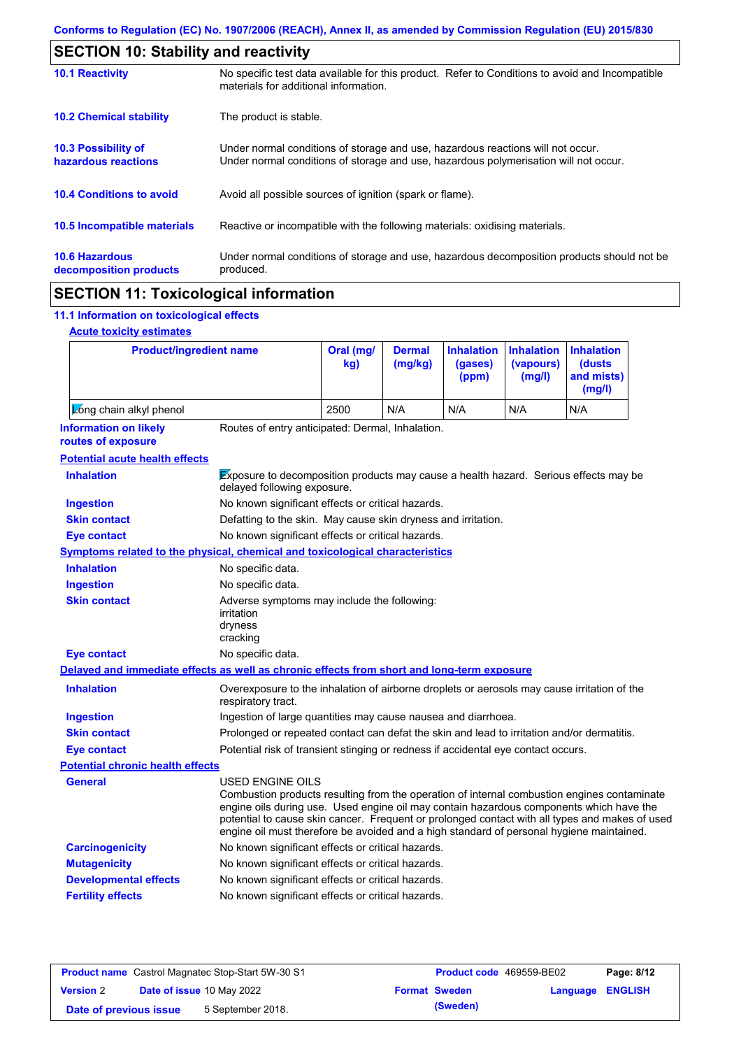| <b>SECTION 10: Stability and reactivity</b>     |                                                                                                                                                                         |  |  |  |
|-------------------------------------------------|-------------------------------------------------------------------------------------------------------------------------------------------------------------------------|--|--|--|
| <b>10.1 Reactivity</b>                          | No specific test data available for this product. Refer to Conditions to avoid and Incompatible<br>materials for additional information.                                |  |  |  |
| <b>10.2 Chemical stability</b>                  | The product is stable.                                                                                                                                                  |  |  |  |
| 10.3 Possibility of<br>hazardous reactions      | Under normal conditions of storage and use, hazardous reactions will not occur.<br>Under normal conditions of storage and use, hazardous polymerisation will not occur. |  |  |  |
| <b>10.4 Conditions to avoid</b>                 | Avoid all possible sources of ignition (spark or flame).                                                                                                                |  |  |  |
| <b>10.5 Incompatible materials</b>              | Reactive or incompatible with the following materials: oxidising materials.                                                                                             |  |  |  |
| <b>10.6 Hazardous</b><br>decomposition products | Under normal conditions of storage and use, hazardous decomposition products should not be<br>produced.                                                                 |  |  |  |

# **SECTION 11: Toxicological information**

## **11.1 Information on toxicological effects**

|  | <b>Acute toxicity estimates</b> |
|--|---------------------------------|
|  |                                 |

| <b>Product/ingredient name</b>                                                             |                                                                                                                                                                                                                                                                                                                                                                                                          | Oral (mg/<br>kg)                                                                            | <b>Dermal</b><br>(mg/kg) | <b>Inhalation</b><br>(gases)<br>(ppm) | <b>Inhalation</b><br>(vapours)<br>(mg/l) | <b>Inhalation</b><br>(dusts)<br>and mists)<br>(mg/l) |
|--------------------------------------------------------------------------------------------|----------------------------------------------------------------------------------------------------------------------------------------------------------------------------------------------------------------------------------------------------------------------------------------------------------------------------------------------------------------------------------------------------------|---------------------------------------------------------------------------------------------|--------------------------|---------------------------------------|------------------------------------------|------------------------------------------------------|
| Zong chain alkyl phenol                                                                    |                                                                                                                                                                                                                                                                                                                                                                                                          | 2500                                                                                        | N/A                      | N/A                                   | N/A                                      | N/A                                                  |
| <b>Information on likely</b><br>routes of exposure                                         | Routes of entry anticipated: Dermal, Inhalation.                                                                                                                                                                                                                                                                                                                                                         |                                                                                             |                          |                                       |                                          |                                                      |
| <b>Potential acute health effects</b>                                                      |                                                                                                                                                                                                                                                                                                                                                                                                          |                                                                                             |                          |                                       |                                          |                                                      |
| <b>Inhalation</b>                                                                          | Exposure to decomposition products may cause a health hazard. Serious effects may be<br>delayed following exposure.                                                                                                                                                                                                                                                                                      |                                                                                             |                          |                                       |                                          |                                                      |
| <b>Ingestion</b>                                                                           | No known significant effects or critical hazards.                                                                                                                                                                                                                                                                                                                                                        |                                                                                             |                          |                                       |                                          |                                                      |
| <b>Skin contact</b>                                                                        | Defatting to the skin. May cause skin dryness and irritation.                                                                                                                                                                                                                                                                                                                                            |                                                                                             |                          |                                       |                                          |                                                      |
| <b>Eye contact</b>                                                                         | No known significant effects or critical hazards.                                                                                                                                                                                                                                                                                                                                                        |                                                                                             |                          |                                       |                                          |                                                      |
| Symptoms related to the physical, chemical and toxicological characteristics               |                                                                                                                                                                                                                                                                                                                                                                                                          |                                                                                             |                          |                                       |                                          |                                                      |
| <b>Inhalation</b>                                                                          | No specific data.                                                                                                                                                                                                                                                                                                                                                                                        |                                                                                             |                          |                                       |                                          |                                                      |
| <b>Ingestion</b>                                                                           | No specific data.                                                                                                                                                                                                                                                                                                                                                                                        |                                                                                             |                          |                                       |                                          |                                                      |
| <b>Skin contact</b>                                                                        | Adverse symptoms may include the following:<br>irritation<br>dryness<br>cracking                                                                                                                                                                                                                                                                                                                         |                                                                                             |                          |                                       |                                          |                                                      |
| <b>Eye contact</b>                                                                         | No specific data.                                                                                                                                                                                                                                                                                                                                                                                        |                                                                                             |                          |                                       |                                          |                                                      |
| Delayed and immediate effects as well as chronic effects from short and long-term exposure |                                                                                                                                                                                                                                                                                                                                                                                                          |                                                                                             |                          |                                       |                                          |                                                      |
| <b>Inhalation</b>                                                                          | respiratory tract.                                                                                                                                                                                                                                                                                                                                                                                       | Overexposure to the inhalation of airborne droplets or aerosols may cause irritation of the |                          |                                       |                                          |                                                      |
| <b>Ingestion</b>                                                                           | Ingestion of large quantities may cause nausea and diarrhoea.                                                                                                                                                                                                                                                                                                                                            |                                                                                             |                          |                                       |                                          |                                                      |
| <b>Skin contact</b>                                                                        | Prolonged or repeated contact can defat the skin and lead to irritation and/or dermatitis.                                                                                                                                                                                                                                                                                                               |                                                                                             |                          |                                       |                                          |                                                      |
| <b>Eye contact</b>                                                                         | Potential risk of transient stinging or redness if accidental eye contact occurs.                                                                                                                                                                                                                                                                                                                        |                                                                                             |                          |                                       |                                          |                                                      |
| <b>Potential chronic health effects</b>                                                    |                                                                                                                                                                                                                                                                                                                                                                                                          |                                                                                             |                          |                                       |                                          |                                                      |
| General                                                                                    | USED ENGINE OILS<br>Combustion products resulting from the operation of internal combustion engines contaminate<br>engine oils during use. Used engine oil may contain hazardous components which have the<br>potential to cause skin cancer. Frequent or prolonged contact with all types and makes of used<br>engine oil must therefore be avoided and a high standard of personal hygiene maintained. |                                                                                             |                          |                                       |                                          |                                                      |
| <b>Carcinogenicity</b>                                                                     | No known significant effects or critical hazards.                                                                                                                                                                                                                                                                                                                                                        |                                                                                             |                          |                                       |                                          |                                                      |
| <b>Mutagenicity</b>                                                                        | No known significant effects or critical hazards.                                                                                                                                                                                                                                                                                                                                                        |                                                                                             |                          |                                       |                                          |                                                      |
| <b>Developmental effects</b>                                                               | No known significant effects or critical hazards.                                                                                                                                                                                                                                                                                                                                                        |                                                                                             |                          |                                       |                                          |                                                      |
| <b>Fertility effects</b>                                                                   | No known significant effects or critical hazards.                                                                                                                                                                                                                                                                                                                                                        |                                                                                             |                          |                                       |                                          |                                                      |

| <b>Product name</b> Castrol Magnatec Stop-Start 5W-30 S1 |  |                                  | <b>Product code</b> 469559-BE02 |                      | Page: 8/12              |  |
|----------------------------------------------------------|--|----------------------------------|---------------------------------|----------------------|-------------------------|--|
| <b>Version 2</b>                                         |  | <b>Date of issue 10 May 2022</b> |                                 | <b>Format Sweden</b> | <b>Language ENGLISH</b> |  |
| Date of previous issue                                   |  | 5 September 2018.                |                                 | (Sweden)             |                         |  |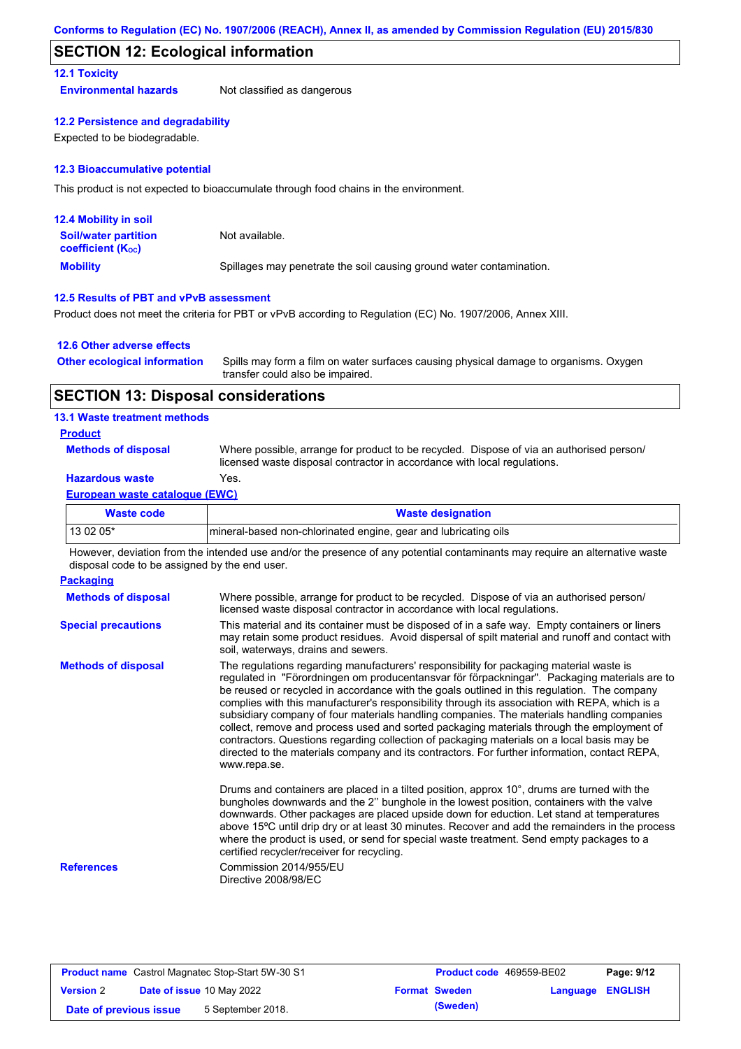## **SECTION 12: Ecological information**

#### **12.1 Toxicity**

**Environmental hazards** Not classified as dangerous

#### **12.2 Persistence and degradability**

Expected to be biodegradable.

#### **12.3 Bioaccumulative potential**

This product is not expected to bioaccumulate through food chains in the environment.

| <b>12.4 Mobility in soil</b>                                  |                                                                      |
|---------------------------------------------------------------|----------------------------------------------------------------------|
| <b>Soil/water partition</b><br>coefficient (K <sub>oc</sub> ) | Not available.                                                       |
| <b>Mobility</b>                                               | Spillages may penetrate the soil causing ground water contamination. |

#### **12.5 Results of PBT and vPvB assessment**

Product does not meet the criteria for PBT or vPvB according to Regulation (EC) No. 1907/2006, Annex XIII.

#### **12.6 Other adverse effects**

| <b>Other ecological information</b> | Spills may form a film on water surfaces causing physical damage to organisms. Oxygen |
|-------------------------------------|---------------------------------------------------------------------------------------|
|                                     | transfer could also be impaired.                                                      |

## **SECTION 13: Disposal considerations**

#### **13.1 Waste treatment methods**

#### **Product**

**Methods of disposal**

Where possible, arrange for product to be recycled. Dispose of via an authorised person/ licensed waste disposal contractor in accordance with local regulations.

## **Hazardous waste** Yes.

#### **European waste catalogue (EWC)**

| Waste code | <b>Waste designation</b>                                         |
|------------|------------------------------------------------------------------|
| 13 02 05*  | Imineral-based non-chlorinated engine, gear and lubricating oils |

However, deviation from the intended use and/or the presence of any potential contaminants may require an alternative waste disposal code to be assigned by the end user.

| <b>Packaging</b>           |                                                                                                                                                                                                                                                                                                                                                                                                                                                                                                                                                                                                                                                                                                                                                                                                   |
|----------------------------|---------------------------------------------------------------------------------------------------------------------------------------------------------------------------------------------------------------------------------------------------------------------------------------------------------------------------------------------------------------------------------------------------------------------------------------------------------------------------------------------------------------------------------------------------------------------------------------------------------------------------------------------------------------------------------------------------------------------------------------------------------------------------------------------------|
| <b>Methods of disposal</b> | Where possible, arrange for product to be recycled. Dispose of via an authorised person/<br>licensed waste disposal contractor in accordance with local regulations.                                                                                                                                                                                                                                                                                                                                                                                                                                                                                                                                                                                                                              |
| <b>Special precautions</b> | This material and its container must be disposed of in a safe way. Empty containers or liners<br>may retain some product residues. Avoid dispersal of spilt material and runoff and contact with<br>soil, waterways, drains and sewers.                                                                                                                                                                                                                                                                                                                                                                                                                                                                                                                                                           |
| <b>Methods of disposal</b> | The regulations regarding manufacturers' responsibility for packaging material waste is<br>regulated in "Förordningen om producentansvar för förpackningar". Packaging materials are to<br>be reused or recycled in accordance with the goals outlined in this regulation. The company<br>complies with this manufacturer's responsibility through its association with REPA, which is a<br>subsidiary company of four materials handling companies. The materials handling companies<br>collect, remove and process used and sorted packaging materials through the employment of<br>contractors. Questions regarding collection of packaging materials on a local basis may be<br>directed to the materials company and its contractors. For further information, contact REPA,<br>www.repa.se. |
|                            | Drums and containers are placed in a tilted position, approx 10°, drums are turned with the<br>bungholes downwards and the 2" bunghole in the lowest position, containers with the valve<br>downwards. Other packages are placed upside down for eduction. Let stand at temperatures<br>above 15°C until drip dry or at least 30 minutes. Recover and add the remainders in the process<br>where the product is used, or send for special waste treatment. Send empty packages to a<br>certified recycler/receiver for recycling.                                                                                                                                                                                                                                                                 |
| <b>References</b>          | Commission 2014/955/EU<br>Directive 2008/98/EC                                                                                                                                                                                                                                                                                                                                                                                                                                                                                                                                                                                                                                                                                                                                                    |

| <b>Product name</b> Castrol Magnatec Stop-Start 5W-30 S1 |  |                                  | Product code 469559-BE02 |                      | Page: 9/12              |  |
|----------------------------------------------------------|--|----------------------------------|--------------------------|----------------------|-------------------------|--|
| <b>Version 2</b>                                         |  | <b>Date of issue 10 May 2022</b> |                          | <b>Format Sweden</b> | <b>Language ENGLISH</b> |  |
| Date of previous issue                                   |  | 5 September 2018.                |                          | (Sweden)             |                         |  |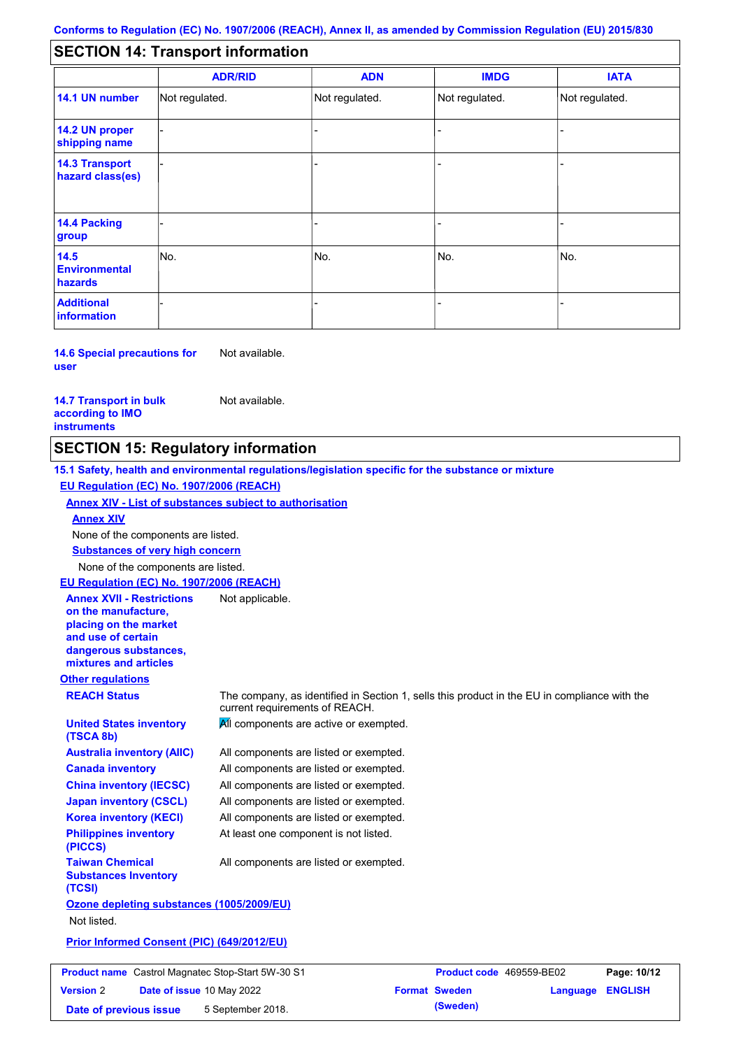#### - - - - - - - - - Not regulated. Not regulated. Not regulated. - - - **SECTION 14: Transport information ADR/RID IMDG IATA 14.1 UN number 14.2 UN proper shipping name 14.3 Transport hazard class(es) 14.4 Packing group ADN Additional information 14.5 Environmental hazards** No. 1980 | No. 1980 | No. 1980 | No. 1980 | No. 1980 | No. 1980 | No. 1980 | No. 1980 | No. 1980 | No. 1980 | Not regulated. - -<br>No. - -

**14.6 Special precautions for user** Not available.

#### **14.7 Transport in bulk according to IMO instruments**

**Version** 2

Not available.

## **SECTION 15: Regulatory information**

**Other regulations REACH Status** The company, as identified in Section 1, sells this product in the EU in compliance with the current requirements of REACH. **15.1 Safety, health and environmental regulations/legislation specific for the substance or mixture EU Regulation (EC) No. 1907/2006 (REACH) Annex XIV - List of substances subject to authorisation Substances of very high concern** None of the components are listed. All components are listed or exempted. All components are listed or exempted. All components are listed or exempted. All components are listed or exempted. All components are active or exempted. All components are listed or exempted. At least one component is not listed. **United States inventory (TSCA 8b) Australia inventory (AIIC) Canada inventory China inventory (IECSC) Japan inventory (CSCL) Korea inventory (KECI) Philippines inventory (PICCS) Taiwan Chemical Substances Inventory (TCSI)** All components are listed or exempted. **Ozone depleting substances (1005/2009/EU)** Not listed. **Prior Informed Consent (PIC) (649/2012/EU)** None of the components are listed. **Annex XIV EU Regulation (EC) No. 1907/2006 (REACH) Annex XVII - Restrictions on the manufacture, placing on the market and use of certain dangerous substances, mixtures and articles** Not applicable. **Product name** Castrol Magnatec Stop-Start 5W-30 S1 **Product Code** 469559-BE02 **Page: 10/12** 

**Date of issue** 10 May 2022 **Format Sweden Language ENGLISH**

**Date of previous issue** 5 September 2018. **(Sweden)**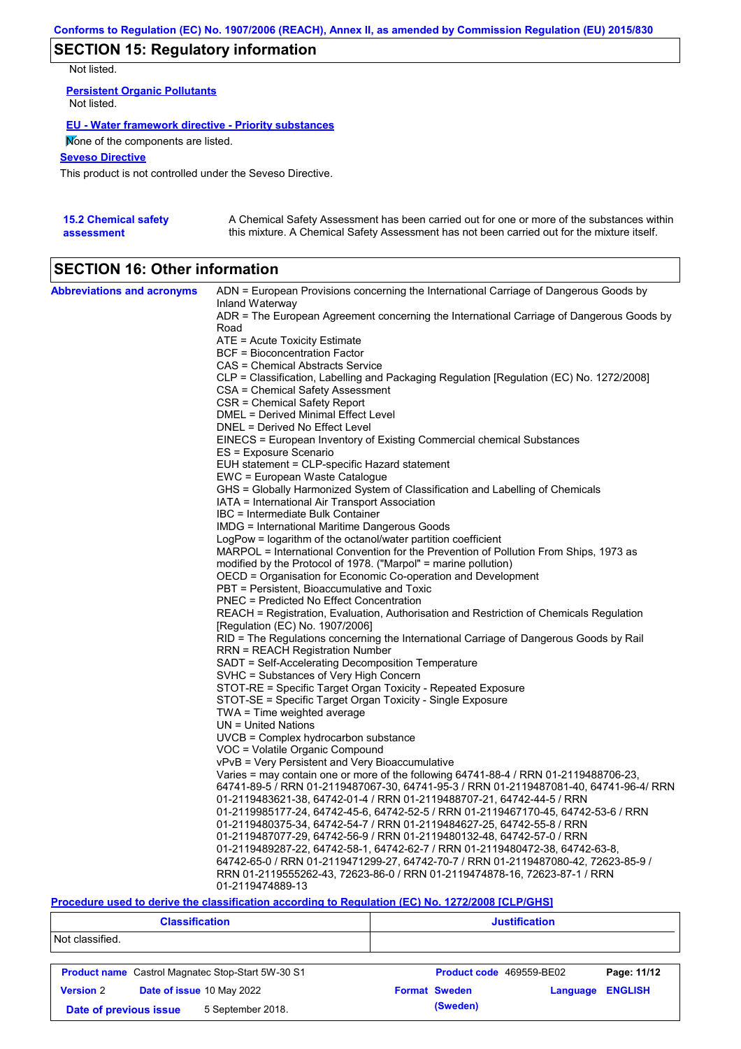# **SECTION 15: Regulatory information**

Not listed.

**Persistent Organic Pollutants** Not listed.

## **EU - Water framework directive - Priority substances**

None of the components are listed.

**Seveso Directive**

This product is not controlled under the Seveso Directive.

| <b>15.2 Chemical safety</b> | A Chemical Safety Assessment has been carried out for one or more of the substances within  |
|-----------------------------|---------------------------------------------------------------------------------------------|
| assessment                  | this mixture. A Chemical Safety Assessment has not been carried out for the mixture itself. |

# **SECTION 16: Other information**

| <b>Abbreviations and acronyms</b> | ADN = European Provisions concerning the International Carriage of Dangerous Goods by    |
|-----------------------------------|------------------------------------------------------------------------------------------|
|                                   | Inland Waterway                                                                          |
|                                   | ADR = The European Agreement concerning the International Carriage of Dangerous Goods by |
|                                   | Road                                                                                     |
|                                   | ATE = Acute Toxicity Estimate                                                            |
|                                   | <b>BCF</b> = Bioconcentration Factor                                                     |
|                                   | CAS = Chemical Abstracts Service                                                         |
|                                   | CLP = Classification, Labelling and Packaging Regulation [Regulation (EC) No. 1272/2008] |
|                                   | CSA = Chemical Safety Assessment<br>CSR = Chemical Safety Report                         |
|                                   | <b>DMEL = Derived Minimal Effect Level</b>                                               |
|                                   | DNEL = Derived No Effect Level                                                           |
|                                   | EINECS = European Inventory of Existing Commercial chemical Substances                   |
|                                   | ES = Exposure Scenario                                                                   |
|                                   | EUH statement = CLP-specific Hazard statement                                            |
|                                   | EWC = European Waste Catalogue                                                           |
|                                   | GHS = Globally Harmonized System of Classification and Labelling of Chemicals            |
|                                   | IATA = International Air Transport Association                                           |
|                                   | IBC = Intermediate Bulk Container                                                        |
|                                   | <b>IMDG = International Maritime Dangerous Goods</b>                                     |
|                                   | LogPow = logarithm of the octanol/water partition coefficient                            |
|                                   | MARPOL = International Convention for the Prevention of Pollution From Ships, 1973 as    |
|                                   | modified by the Protocol of 1978. ("Marpol" = marine pollution)                          |
|                                   | OECD = Organisation for Economic Co-operation and Development                            |
|                                   | PBT = Persistent, Bioaccumulative and Toxic                                              |
|                                   | PNEC = Predicted No Effect Concentration                                                 |
|                                   | REACH = Registration, Evaluation, Authorisation and Restriction of Chemicals Regulation  |
|                                   | [Regulation (EC) No. 1907/2006]                                                          |
|                                   | RID = The Regulations concerning the International Carriage of Dangerous Goods by Rail   |
|                                   | <b>RRN = REACH Registration Number</b>                                                   |
|                                   | SADT = Self-Accelerating Decomposition Temperature                                       |
|                                   | SVHC = Substances of Very High Concern                                                   |
|                                   | STOT-RE = Specific Target Organ Toxicity - Repeated Exposure                             |
|                                   | STOT-SE = Specific Target Organ Toxicity - Single Exposure                               |
|                                   | $TWA = Time$ weighted average                                                            |
|                                   | $UN = United Nations$                                                                    |
|                                   | UVCB = Complex hydrocarbon substance                                                     |
|                                   | VOC = Volatile Organic Compound                                                          |
|                                   | vPvB = Very Persistent and Very Bioaccumulative                                          |
|                                   | Varies = may contain one or more of the following $64741-88-4$ / RRN 01-2119488706-23,   |
|                                   | 64741-89-5 / RRN 01-2119487067-30, 64741-95-3 / RRN 01-2119487081-40, 64741-96-4/ RRN    |
|                                   | 01-2119483621-38, 64742-01-4 / RRN 01-2119488707-21, 64742-44-5 / RRN                    |
|                                   | 01-2119985177-24, 64742-45-6, 64742-52-5 / RRN 01-2119467170-45, 64742-53-6 / RRN        |
|                                   | 01-2119480375-34, 64742-54-7 / RRN 01-2119484627-25, 64742-55-8 / RRN                    |
|                                   | 01-2119487077-29, 64742-56-9 / RRN 01-2119480132-48, 64742-57-0 / RRN                    |
|                                   | 01-2119489287-22, 64742-58-1, 64742-62-7 / RRN 01-2119480472-38, 64742-63-8,             |
|                                   | 64742-65-0 / RRN 01-2119471299-27, 64742-70-7 / RRN 01-2119487080-42, 72623-85-9 /       |
|                                   | RRN 01-2119555262-43, 72623-86-0 / RRN 01-2119474878-16, 72623-87-1 / RRN                |
|                                   | 01-2119474889-13                                                                         |

### **Procedure used to derive the classification according to Regulation (EC) No. 1272/2008 [CLP/GHS]**

| <b>Classification</b>                         |                                                          | <b>Justification</b>     |          |                |  |
|-----------------------------------------------|----------------------------------------------------------|--------------------------|----------|----------------|--|
| Not classified.                               |                                                          |                          |          |                |  |
|                                               | <b>Product name</b> Castrol Magnatec Stop-Start 5W-30 S1 | Product code 469559-BE02 |          | Page: 11/12    |  |
| Date of issue 10 May 2022<br><b>Version 2</b> |                                                          | <b>Format Sweden</b>     | Language | <b>ENGLISH</b> |  |
| 5 September 2018.<br>Date of previous issue   |                                                          | (Sweden)                 |          |                |  |